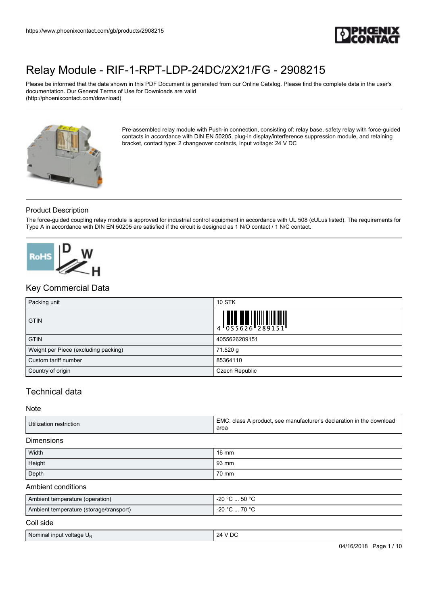

Please be informed that the data shown in this PDF Document is generated from our Online Catalog. Please find the complete data in the user's documentation. Our General Terms of Use for Downloads are valid (http://phoenixcontact.com/download)



Pre-assembled relay module with Push-in connection, consisting of: relay base, safety relay with force-guided contacts in accordance with DIN EN 50205, plug-in display/interference suppression module, and retaining bracket, contact type: 2 changeover contacts, input voltage: 24 V DC

### Product Description

The force-guided coupling relay module is approved for industrial control equipment in accordance with UL 508 (cULus listed). The requirements for Type A in accordance with DIN EN 50205 are satisfied if the circuit is designed as 1 N/O contact / 1 N/C contact.



## Key Commercial Data

| Packing unit                         | <b>10 STK</b>  |
|--------------------------------------|----------------|
| <b>GTIN</b>                          |                |
| <b>GTIN</b>                          | 4055626289151  |
| Weight per Piece (excluding packing) | 71.520 g       |
| Custom tariff number                 | 85364110       |
| Country of origin                    | Czech Republic |

### Technical data

Note

| EMC:<br>": class A product, see manufacturer's declaration in the download<br>Utilization restriction<br>area |
|---------------------------------------------------------------------------------------------------------------|
|---------------------------------------------------------------------------------------------------------------|

#### **Dimensions**

| Width  | 16 mm |
|--------|-------|
| Height | 93 mm |
| Depth  | 70 mm |

#### Ambient conditions

| Ambient temperature (operation)         | $-20 °C  50 °C$ |
|-----------------------------------------|-----------------|
| Ambient temperature (storage/transport) | -20 °C  70 °C   |
|                                         |                 |

### Coil side

| Nominal input voltage U <sub>N</sub> | $'$ DC<br>24V<br>___ |
|--------------------------------------|----------------------|
|                                      |                      |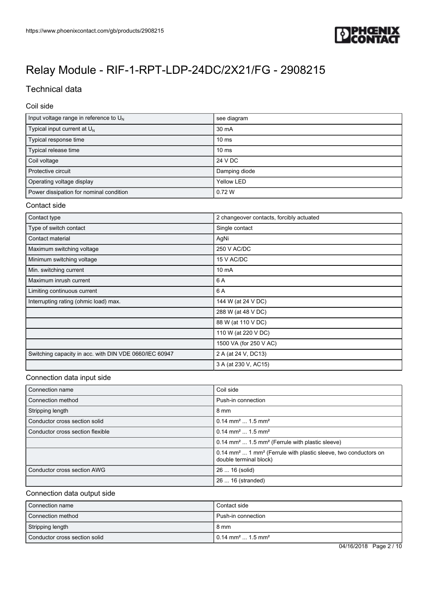

## Technical data

Coil side

| Input voltage range in reference to $U_{N}$ | see diagram       |
|---------------------------------------------|-------------------|
| Typical input current at $U_{N}$            | 30 mA             |
| Typical response time                       | 10 <sub>ms</sub>  |
| Typical release time                        | 10 <sub>ms</sub>  |
| Coil voltage                                | 24 V DC           |
| Protective circuit                          | Damping diode     |
| Operating voltage display                   | <b>Yellow LED</b> |
| Power dissipation for nominal condition     | 0.72W             |

#### Contact side

| Contact type                                           | 2 changeover contacts, forcibly actuated |
|--------------------------------------------------------|------------------------------------------|
| Type of switch contact                                 | Single contact                           |
| Contact material                                       | AgNi                                     |
| Maximum switching voltage                              | 250 V AC/DC                              |
| Minimum switching voltage                              | 15 V AC/DC                               |
| Min. switching current                                 | 10 mA                                    |
| Maximum inrush current                                 | 6 A                                      |
| Limiting continuous current                            | 6 A                                      |
| Interrupting rating (ohmic load) max.                  | 144 W (at 24 V DC)                       |
|                                                        | 288 W (at 48 V DC)                       |
|                                                        | 88 W (at 110 V DC)                       |
|                                                        | 110 W (at 220 V DC)                      |
|                                                        | 1500 VA (for 250 V AC)                   |
| Switching capacity in acc. with DIN VDE 0660/IEC 60947 | 2 A (at 24 V, DC13)                      |
|                                                        | 3 A (at 230 V, AC15)                     |

### Connection data input side

| Connection name                  | Coil side                                                                                                        |
|----------------------------------|------------------------------------------------------------------------------------------------------------------|
| Connection method                | Push-in connection                                                                                               |
| Stripping length                 | 8 mm                                                                                                             |
| Conductor cross section solid    | $0.14$ mm <sup>2</sup> 1.5 mm <sup>2</sup>                                                                       |
| Conductor cross section flexible | $0.14$ mm <sup>2</sup> 1.5 mm <sup>2</sup>                                                                       |
|                                  | 0.14 mm <sup>2</sup> 1.5 mm <sup>2</sup> (Ferrule with plastic sleeve)                                           |
|                                  | 0.14 mm <sup>2</sup> 1 mm <sup>2</sup> (Ferrule with plastic sleeve, two conductors on<br>double terminal block) |
| Conductor cross section AWG      | 26  16 (solid)                                                                                                   |
|                                  | 26  16 (stranded)                                                                                                |

#### Connection data output side

| Connection name               | l Contact side                              |
|-------------------------------|---------------------------------------------|
| Connection method             | I Push-in connection                        |
| Stripping length              | l 8 mm                                      |
| Conductor cross section solid | $10.14$ mm <sup>2</sup> 1.5 mm <sup>2</sup> |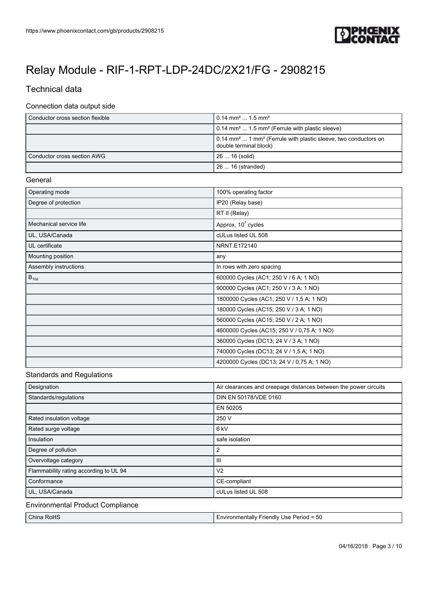

## Technical data

### Connection data output side

| Conductor cross section flexible | $10.14 \text{ mm}^2 \dots 1.5 \text{ mm}^2$                                                                      |
|----------------------------------|------------------------------------------------------------------------------------------------------------------|
|                                  | $\vert$ 0.14 mm <sup>2</sup> 1.5 mm <sup>2</sup> (Ferrule with plastic sleeve)                                   |
|                                  | 0.14 mm <sup>2</sup> 1 mm <sup>2</sup> (Ferrule with plastic sleeve, two conductors on<br>double terminal block) |
| Conductor cross section AWG      | 26  16 (solid)                                                                                                   |
|                                  | 26  16 (stranded)                                                                                                |

#### **General**

| Operating mode          | 100% operating factor                       |
|-------------------------|---------------------------------------------|
| Degree of protection    | IP20 (Relay base)                           |
|                         | RT II (Relay)                               |
| Mechanical service life | Approx. $10^7$ cycles                       |
| UL, USA/Canada          | cULus listed UL 508                         |
| UL certificate          | NRNT.E172140                                |
| Mounting position       | any                                         |
| Assembly instructions   | In rows with zero spacing                   |
| $B_{10d}$               | 600000 Cycles (AC1; 250 V / 6 A; 1 NO)      |
|                         | 900000 Cycles (AC1; 250 V / 3 A; 1 NO)      |
|                         | 1800000 Cycles (AC1; 250 V / 1,5 A; 1 NO)   |
|                         | 180000 Cycles (AC15; 250 V / 3 A; 1 NO)     |
|                         | 560000 Cycles (AC15; 250 V / 2 A; 1 NO)     |
|                         | 4600000 Cycles (AC15; 250 V / 0,75 A; 1 NO) |
|                         | 360000 Cycles (DC13; 24 V / 3 A; 1 NO)      |
|                         | 740000 Cycles (DC13; 24 V / 1,5 A; 1 NO)    |
|                         | 4200000 Cycles (DC13; 24 V / 0,75 A; 1 NO)  |

## Standards and Regulations

| Designation                            | Air clearances and creepage distances between the power circuits |
|----------------------------------------|------------------------------------------------------------------|
| Standards/regulations                  | DIN EN 50178/VDE 0160                                            |
|                                        | EN 50205                                                         |
| Rated insulation voltage               | 250 V                                                            |
| Rated surge voltage                    | 6 <sub>kV</sub>                                                  |
| Insulation                             | safe isolation                                                   |
| Degree of pollution                    | 2                                                                |
| Overvoltage category                   | Ш                                                                |
| Flammability rating according to UL 94 | V <sub>2</sub>                                                   |
| Conformance                            | CE-compliant                                                     |
| UL, USA/Canada                         | cULus listed UL 508                                              |

#### Environmental Product Compliance

| Chin:<br>יי<br>nvı<br>ושר<br>. I C<br>. | <sub>∽⊓</sub> tall⊻ '<br>Jse.<br>riendly<br>'eriod<br>∟or<br>11 I I E I<br>JU.<br>$ -$ |
|-----------------------------------------|----------------------------------------------------------------------------------------|
|-----------------------------------------|----------------------------------------------------------------------------------------|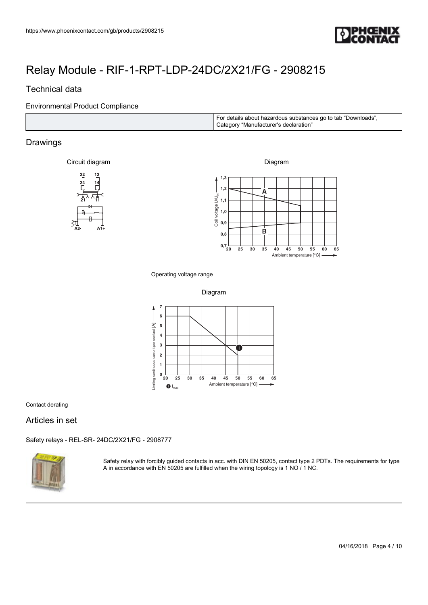

## Technical data

### Environmental Product Compliance

| I For details about hazardous substances go to tab "Downloads",<br>Category "Manufacturer's declaration" |
|----------------------------------------------------------------------------------------------------------|
|----------------------------------------------------------------------------------------------------------|

## Drawings

Circuit diagram **Diagram** Diagram **Diagram** 





Operating voltage range





Contact derating

### Articles in set

[Safety relays - REL-SR- 24DC/2X21/FG - 2908777](https://www.phoenixcontact.com/gb/products/2908777)



Safety relay with forcibly guided contacts in acc. with DIN EN 50205, contact type 2 PDTs. The requirements for type A in accordance with EN 50205 are fulfilled when the wiring topology is 1 NO / 1 NC.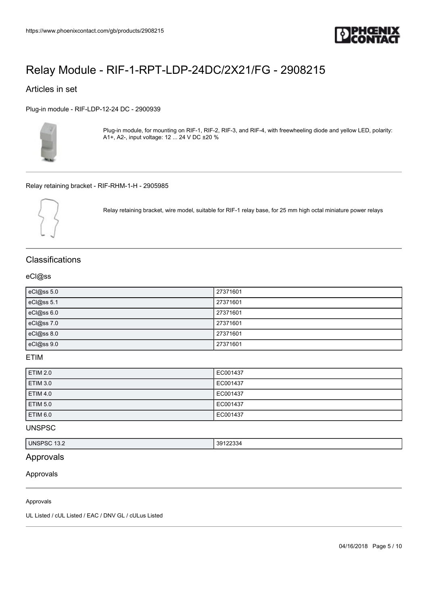

### Articles in set

[Plug-in module - RIF-LDP-12-24 DC - 2900939](https://www.phoenixcontact.com/gb/products/2900939)



Plug-in module, for mounting on RIF-1, RIF-2, RIF-3, and RIF-4, with freewheeling diode and yellow LED, polarity: A1+, A2-, input voltage: 12 ... 24 V DC ±20 %

#### [Relay retaining bracket - RIF-RHM-1-H - 2905985](https://www.phoenixcontact.com/gb/products/2905985)



Relay retaining bracket, wire model, suitable for RIF-1 relay base, for 25 mm high octal miniature power relays

## **Classifications**

#### eCl@ss

| eCl@ss 5.0 | 27371601 |
|------------|----------|
| eCl@ss 5.1 | 27371601 |
| eCl@ss 6.0 | 27371601 |
| eCl@ss 7.0 | 27371601 |
| eCl@ss 8.0 | 27371601 |
| eCl@ss 9.0 | 27371601 |

### ETIM

| <b>ETIM 2.0</b> | EC001437 |
|-----------------|----------|
| <b>ETIM 3.0</b> | EC001437 |
| <b>ETIM 4.0</b> | EC001437 |
| <b>ETIM 5.0</b> | EC001437 |
| <b>ETIM 6.0</b> | EC001437 |

### UNSPSC

| <b>UNSPSC</b><br>13.2<br>دں رے |
|--------------------------------|
|--------------------------------|

## Approvals

Approvals

#### Approvals

UL Listed / cUL Listed / EAC / DNV GL / cULus Listed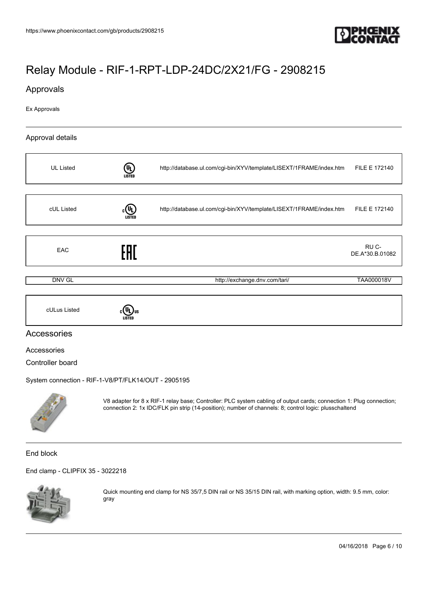

### Approvals

Ex Approvals

| Approval details |                |                                                                     |                          |
|------------------|----------------|---------------------------------------------------------------------|--------------------------|
| <b>UL Listed</b> | (UL)<br>LISTED | http://database.ul.com/cgi-bin/XYV/template/LISEXT/1FRAME/index.htm | FILE E 172140            |
|                  |                |                                                                     |                          |
| cUL Listed       | ։(Կւ<br>LISTED | http://database.ul.com/cgi-bin/XYV/template/LISEXT/1FRAME/index.htm | FILE E 172140            |
|                  |                |                                                                     |                          |
| <b>EAC</b>       | FAT            |                                                                     | RU C-<br>DE.A*30.B.01082 |
|                  |                |                                                                     |                          |
| DNV GL           |                | http://exchange.dnv.com/tari/                                       | TAA000018V               |
|                  |                |                                                                     |                          |
| cULus Listed     |                |                                                                     |                          |

## Accessories

#### Accessories

Controller board

[System connection - RIF-1-V8/PT/FLK14/OUT - 2905195](https://www.phoenixcontact.com/gb/products/2905195)



V8 adapter for 8 x RIF-1 relay base; Controller: PLC system cabling of output cards; connection 1: Plug connection; connection 2: 1x IDC/FLK pin strip (14-position); number of channels: 8; control logic: plusschaltend

End block

[End clamp - CLIPFIX 35 - 3022218](https://www.phoenixcontact.com/gb/products/3022218)



Quick mounting end clamp for NS 35/7,5 DIN rail or NS 35/15 DIN rail, with marking option, width: 9.5 mm, color: gray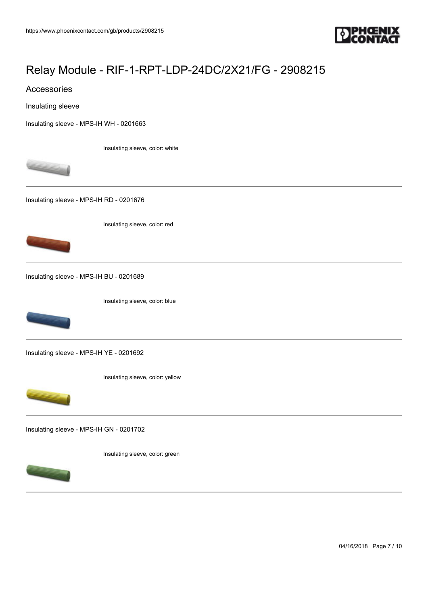

Accessories

Insulating sleeve

[Insulating sleeve - MPS-IH WH - 0201663](https://www.phoenixcontact.com/gb/products/0201663)

Insulating sleeve, color: white



[Insulating sleeve - MPS-IH RD - 0201676](https://www.phoenixcontact.com/gb/products/0201676)

Insulating sleeve, color: red



[Insulating sleeve - MPS-IH BU - 0201689](https://www.phoenixcontact.com/gb/products/0201689)



Insulating sleeve, color: blue

[Insulating sleeve - MPS-IH YE - 0201692](https://www.phoenixcontact.com/gb/products/0201692)

Insulating sleeve, color: yellow



[Insulating sleeve - MPS-IH GN - 0201702](https://www.phoenixcontact.com/gb/products/0201702)

Insulating sleeve, color: green



04/16/2018 Page 7 / 10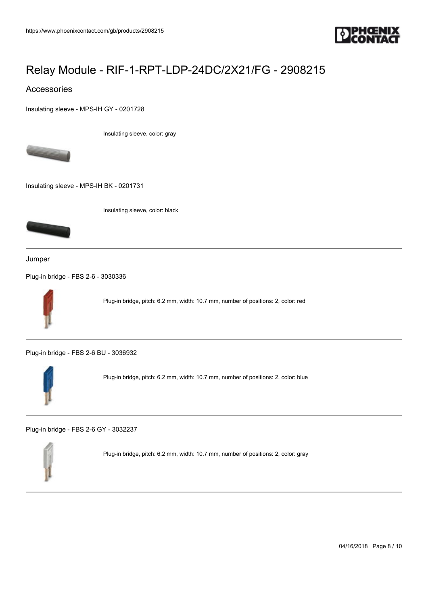

### Accessories

[Insulating sleeve - MPS-IH GY - 0201728](https://www.phoenixcontact.com/gb/products/0201728)

Insulating sleeve, color: gray



[Insulating sleeve - MPS-IH BK - 0201731](https://www.phoenixcontact.com/gb/products/0201731)

Insulating sleeve, color: black



Jumper

[Plug-in bridge - FBS 2-6 - 3030336](https://www.phoenixcontact.com/gb/products/3030336)



Plug-in bridge, pitch: 6.2 mm, width: 10.7 mm, number of positions: 2, color: red

[Plug-in bridge - FBS 2-6 BU - 3036932](https://www.phoenixcontact.com/gb/products/3036932)



Plug-in bridge, pitch: 6.2 mm, width: 10.7 mm, number of positions: 2, color: blue

[Plug-in bridge - FBS 2-6 GY - 3032237](https://www.phoenixcontact.com/gb/products/3032237)



Plug-in bridge, pitch: 6.2 mm, width: 10.7 mm, number of positions: 2, color: gray

04/16/2018 Page 8 / 10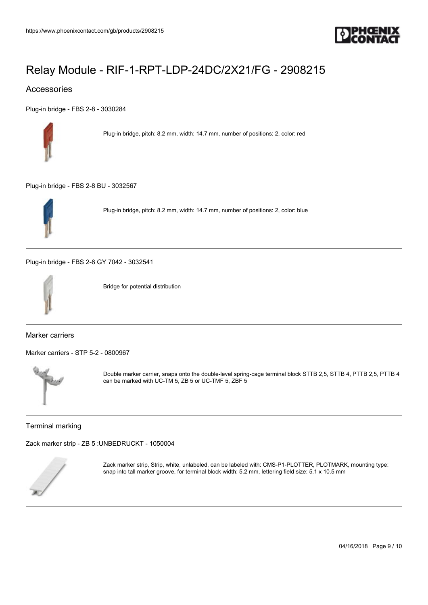

### Accessories

[Plug-in bridge - FBS 2-8 - 3030284](https://www.phoenixcontact.com/gb/products/3030284)



Plug-in bridge, pitch: 8.2 mm, width: 14.7 mm, number of positions: 2, color: red

[Plug-in bridge - FBS 2-8 BU - 3032567](https://www.phoenixcontact.com/gb/products/3032567)



Plug-in bridge, pitch: 8.2 mm, width: 14.7 mm, number of positions: 2, color: blue

[Plug-in bridge - FBS 2-8 GY 7042 - 3032541](https://www.phoenixcontact.com/gb/products/3032541)



Bridge for potential distribution

Marker carriers

[Marker carriers - STP 5-2 - 0800967](https://www.phoenixcontact.com/gb/products/0800967)



Double marker carrier, snaps onto the double-level spring-cage terminal block STTB 2,5, STTB 4, PTTB 2,5, PTTB 4 can be marked with UC-TM 5, ZB 5 or UC-TMF 5, ZBF 5

Terminal marking

[Zack marker strip - ZB 5 :UNBEDRUCKT - 1050004](https://www.phoenixcontact.com/gb/products/1050004)



Zack marker strip, Strip, white, unlabeled, can be labeled with: CMS-P1-PLOTTER, PLOTMARK, mounting type: snap into tall marker groove, for terminal block width: 5.2 mm, lettering field size: 5.1 x 10.5 mm